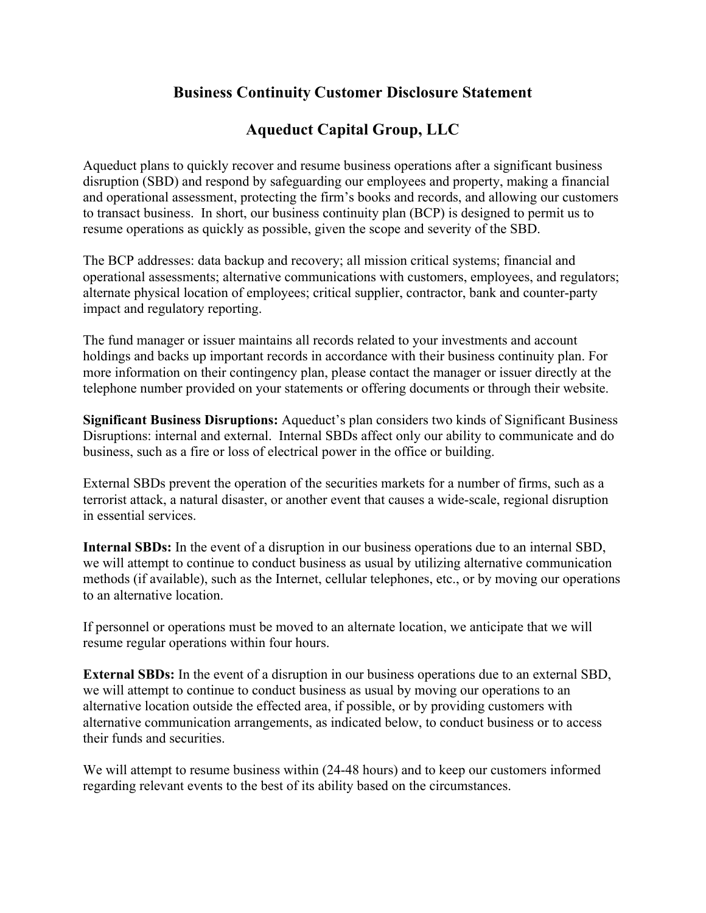## **Business Continuity Customer Disclosure Statement**

## **Aqueduct Capital Group, LLC**

Aqueduct plans to quickly recover and resume business operations after a significant business disruption (SBD) and respond by safeguarding our employees and property, making a financial and operational assessment, protecting the firm's books and records, and allowing our customers to transact business. In short, our business continuity plan (BCP) is designed to permit us to resume operations as quickly as possible, given the scope and severity of the SBD.

The BCP addresses: data backup and recovery; all mission critical systems; financial and operational assessments; alternative communications with customers, employees, and regulators; alternate physical location of employees; critical supplier, contractor, bank and counter-party impact and regulatory reporting.

The fund manager or issuer maintains all records related to your investments and account holdings and backs up important records in accordance with their business continuity plan. For more information on their contingency plan, please contact the manager or issuer directly at the telephone number provided on your statements or offering documents or through their website.

**Significant Business Disruptions:** Aqueduct's plan considers two kinds of Significant Business Disruptions: internal and external. Internal SBDs affect only our ability to communicate and do business, such as a fire or loss of electrical power in the office or building.

External SBDs prevent the operation of the securities markets for a number of firms, such as a terrorist attack, a natural disaster, or another event that causes a wide-scale, regional disruption in essential services.

**Internal SBDs:** In the event of a disruption in our business operations due to an internal SBD, we will attempt to continue to conduct business as usual by utilizing alternative communication methods (if available), such as the Internet, cellular telephones, etc., or by moving our operations to an alternative location.

If personnel or operations must be moved to an alternate location, we anticipate that we will resume regular operations within four hours.

**External SBDs:** In the event of a disruption in our business operations due to an external SBD, we will attempt to continue to conduct business as usual by moving our operations to an alternative location outside the effected area, if possible, or by providing customers with alternative communication arrangements, as indicated below, to conduct business or to access their funds and securities.

We will attempt to resume business within  $(24-48$  hours) and to keep our customers informed regarding relevant events to the best of its ability based on the circumstances.